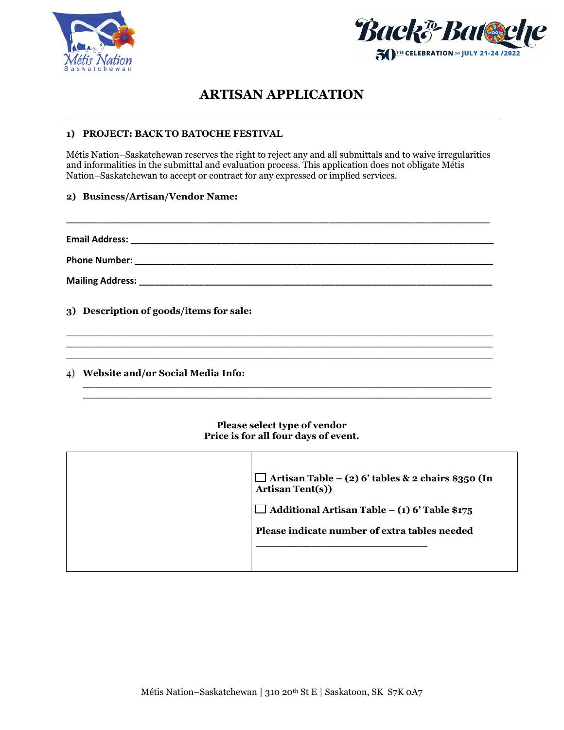



## **ARTISAN APPLICATION**

#### **1) PROJECT: BACK TO BATOCHE FESTIVAL**

Métis Nation–Saskatchewan reserves the right to reject any and all submittals and to waive irregularities and informalities in the submittal and evaluation process. This application does not obligate Métis Nation–Saskatchewan to accept or contract for any expressed or implied services.

\_\_\_\_\_\_\_\_\_\_\_\_\_\_\_\_\_\_\_\_\_\_\_\_\_\_\_\_\_\_\_\_\_\_\_\_\_\_\_\_\_\_\_\_\_\_\_\_\_\_\_\_\_\_\_\_\_\_\_\_\_\_\_\_\_\_\_\_\_\_\_\_\_\_\_\_\_\_\_\_\_\_\_\_

#### **2) Business/Artisan/Vendor Name:**

**Email Address: \_\_\_\_\_\_\_\_\_\_\_\_\_\_\_\_\_\_\_\_\_\_\_\_\_\_\_\_\_\_\_\_\_\_\_\_\_\_\_\_\_\_\_\_\_\_\_\_\_\_\_\_\_\_\_\_\_\_\_\_\_\_\_\_\_\_\_\_\_\_\_\_**

**Phone Number: \_\_\_\_\_\_\_\_\_\_\_\_\_\_\_\_\_\_\_\_\_\_\_\_\_\_\_\_\_\_\_\_\_\_\_\_\_\_\_\_\_\_\_\_\_\_\_\_\_\_\_\_\_\_\_\_\_\_\_\_\_\_\_\_\_\_\_\_\_\_\_**

**Mailing Address: \_\_\_\_\_\_\_\_\_\_\_\_\_\_\_\_\_\_\_\_\_\_\_\_\_\_\_\_\_\_\_\_\_\_\_\_\_\_\_\_\_\_\_\_\_\_\_\_\_\_\_\_\_\_\_\_\_\_\_\_\_\_\_\_\_\_\_\_\_\_**

**3) Description of goods/items for sale:**

4) **Website and/or Social Media Info:** 

#### **Please select type of vendor Price is for all four days of event.**

 $\_$  , and the set of the set of the set of the set of the set of the set of the set of the set of the set of the set of the set of the set of the set of the set of the set of the set of the set of the set of the set of th  $\_$  , and the set of the set of the set of the set of the set of the set of the set of the set of the set of the set of the set of the set of the set of the set of the set of the set of the set of the set of the set of th

 $\overline{\phantom{a}}$  ,  $\overline{\phantom{a}}$  ,  $\overline{\phantom{a}}$  ,  $\overline{\phantom{a}}$  ,  $\overline{\phantom{a}}$  ,  $\overline{\phantom{a}}$  ,  $\overline{\phantom{a}}$  ,  $\overline{\phantom{a}}$  ,  $\overline{\phantom{a}}$  ,  $\overline{\phantom{a}}$  ,  $\overline{\phantom{a}}$  ,  $\overline{\phantom{a}}$  ,  $\overline{\phantom{a}}$  ,  $\overline{\phantom{a}}$  ,  $\overline{\phantom{a}}$  ,  $\overline{\phantom{a}}$  $\overline{\phantom{a}}$  , and the contribution of the contribution of the contribution of the contribution of the contribution of the contribution of the contribution of the contribution of the contribution of the contribution of the  $\overline{\phantom{a}}$  ,  $\overline{\phantom{a}}$  ,  $\overline{\phantom{a}}$  ,  $\overline{\phantom{a}}$  ,  $\overline{\phantom{a}}$  ,  $\overline{\phantom{a}}$  ,  $\overline{\phantom{a}}$  ,  $\overline{\phantom{a}}$  ,  $\overline{\phantom{a}}$  ,  $\overline{\phantom{a}}$  ,  $\overline{\phantom{a}}$  ,  $\overline{\phantom{a}}$  ,  $\overline{\phantom{a}}$  ,  $\overline{\phantom{a}}$  ,  $\overline{\phantom{a}}$  ,  $\overline{\phantom{a}}$ 

| $\Box$ Artisan Table – (2) 6' tables & 2 chairs \$350 (In<br>Artisan Tent(s))<br>$\Box$ Additional Artisan Table – (1) 6' Table \$175<br>Please indicate number of extra tables needed |
|----------------------------------------------------------------------------------------------------------------------------------------------------------------------------------------|
|                                                                                                                                                                                        |